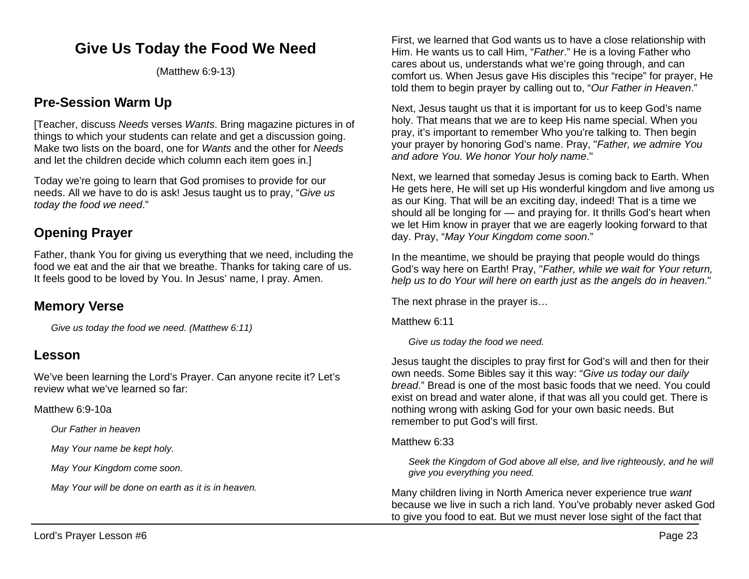# **Give Us Today the Food We Need**

(Matthew 6:9-13)

## **Pre-Session Warm Up**

[Teacher, discuss *Needs* verses *Wants*. Bring magazine pictures in of things to which your students can relate and get a discussion going. Make two lists on the board, one for *Wants* and the other for *Needs* and let the children decide which column each item goes in.]

Today we're going to learn that God promises to provide for our needs. All we have to do is ask! Jesus taught us to pray, "*Give us today the food we need*."

## **Opening Prayer**

Father, thank You for giving us everything that we need, including the food we eat and the air that we breathe. Thanks for taking care of us. It feels good to be loved by You. In Jesus' name, I pray. Amen.

### **Memory Verse**

*Give us today the food we need. (Matthew 6:11)*

## **Lesson**

We've been learning the Lord's Prayer. Can anyone recite it? Let's review what we've learned so far:

Matthew 6:9-10a

*Our Father in heaven*

*May Your name be kept holy.*

*May Your Kingdom come soon.*

*May Your will be done on earth as it is in heaven.*

First, we learned that God wants us to have a close relationship with Him. He wants us to call Him, "*Father*." He is a loving Father who cares about us, understands what we're going through, and can comfort us. When Jesus gave His disciples this "recipe" for prayer, He told them to begin prayer by calling out to, "*Our Father in Heaven*."

Next, Jesus taught us that it is important for us to keep God's name holy. That means that we are to keep His name special. When you pray, it's important to remember Who you're talking to. Then begin your prayer by honoring God's name. Pray, "*Father, we admire You and adore You. We honor Your holy name*."

Next, we learned that someday Jesus is coming back to Earth. When He gets here, He will set up His wonderful kingdom and live among us as our King. That will be an exciting day, indeed! That is a time we should all be longing for — and praying for. It thrills God's heart when we let Him know in prayer that we are eagerly looking forward to that day. Pray, "*May Your Kingdom come soon*."

In the meantime, we should be praying that people would do things God's way here on Earth! Pray, "*Father, while we wait for Your return, help us to do Your will here on earth just as the angels do in heaven*."

The next phrase in the prayer is…

Matthew 6:11

*Give us today the food we need.*

Jesus taught the disciples to pray first for God's will and then for their own needs. Some Bibles say it this way: "*Give us today our daily bread*." Bread is one of the most basic foods that we need. You could exist on bread and water alone, if that was all you could get. There is nothing wrong with asking God for your own basic needs. But remember to put God's will first.

Matthew 6:33

*Seek the Kingdom of God above all else, and live righteously, and he will give you everything you need.*

Many children living in North America never experience true *want* because we live in such a rich land. You've probably never asked God to give you food to eat. But we must never lose sight of the fact that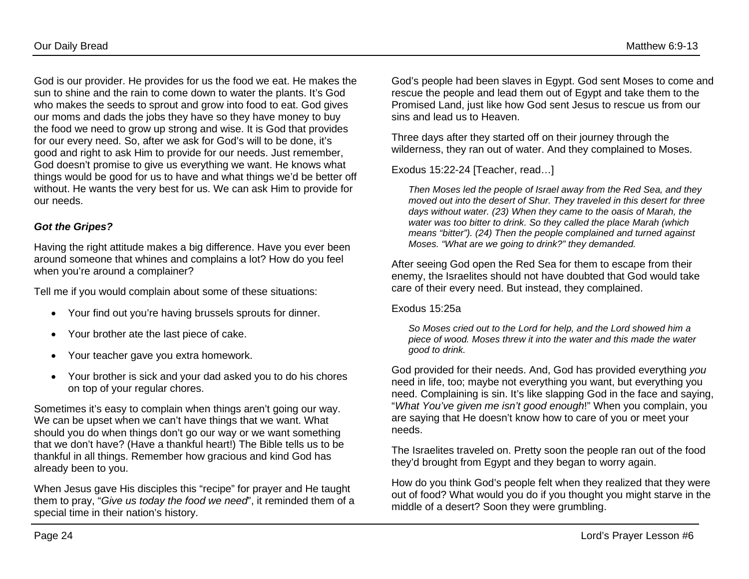God is our provider. He provides for us the food we eat. He makes the sun to shine and the rain to come down to water the plants. It's God who makes the seeds to sprout and grow into food to eat. God gives our moms and dads the jobs they have so they have money to buy the food we need to grow up strong and wise. It is God that provides for our every need. So, after we ask for God's will to be done, it's good and right to ask Him to provide for our needs. Just remember, God doesn't promise to give us everything we want. He knows what things would be good for us to have and what things we'd be better off without. He wants the very best for us. We can ask Him to provide for our needs.

### *Got the Gripes?*

Having the right attitude makes a big difference. Have you ever been around someone that whines and complains a lot? How do you feel when you're around a complainer?

Tell me if you would complain about some of these situations:

- Your find out you're having brussels sprouts for dinner.
- Your brother ate the last piece of cake.
- Your teacher gave you extra homework.
- Your brother is sick and your dad asked you to do his chores on top of your regular chores.

Sometimes it's easy to complain when things aren't going our way. We can be upset when we can't have things that we want. What should you do when things don't go our way or we want something that we don't have? (Have a thankful heart!) The Bible tells us to be thankful in all things. Remember how gracious and kind God has already been to you.

When Jesus gave His disciples this "recipe" for prayer and He taught them to pray, "*Give us today the food we need*", it reminded them of a special time in their nation's history.

God's people had been slaves in Egypt. God sent Moses to come and rescue the people and lead them out of Egypt and take them to the Promised Land, just like how God sent Jesus to rescue us from our sins and lead us to Heaven.

Three days after they started off on their journey through the wilderness, they ran out of water. And they complained to Moses.

Exodus 15:22-24 [Teacher, read…]

*Then Moses led the people of Israel away from the Red Sea, and they moved out into the desert of Shur. They traveled in this desert for three days without water. (23) When they came to the oasis of Marah, the water was too bitter to drink. So they called the place Marah (which means "bitter"). (24) Then the people complained and turned against Moses. "What are we going to drink?" they demanded.* 

After seeing God open the Red Sea for them to escape from their enemy, the Israelites should not have doubted that God would take care of their every need. But instead, they complained.

Exodus 15:25a

*So Moses cried out to the Lord for help, and the Lord showed him a piece of wood. Moses threw it into the water and this made the water good to drink.*

God provided for their needs. And, God has provided everything *you* need in life, too; maybe not everything you want, but everything you need. Complaining is sin. It's like slapping God in the face and saying, "*What You've given me isn't good enough*!" When you complain, you are saying that He doesn't know how to care of you or meet your needs.

The Israelites traveled on. Pretty soon the people ran out of the food they'd brought from Egypt and they began to worry again.

How do you think God's people felt when they realized that they were out of food? What would you do if you thought you might starve in the middle of a desert? Soon they were grumbling.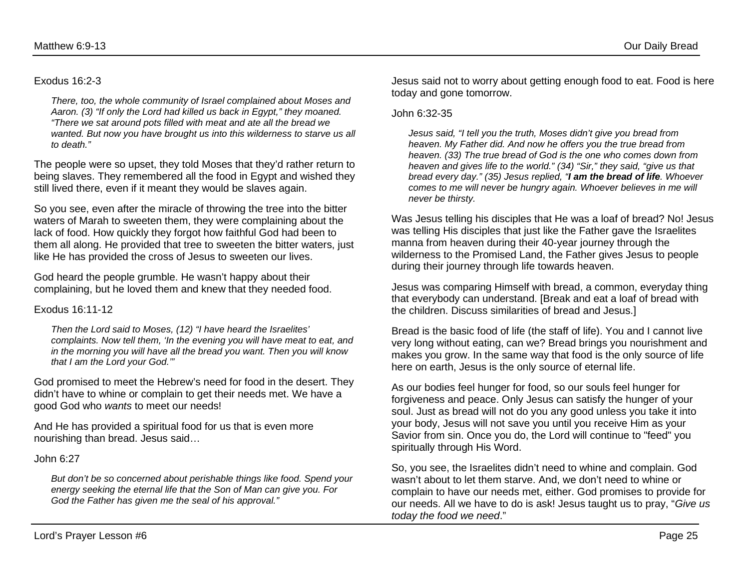#### Exodus 16:2-3

*There, too, the whole community of Israel complained about Moses and Aaron. (3) "If only the Lord had killed us back in Egypt," they moaned. "There we sat around pots filled with meat and ate all the bread we wanted. But now you have brought us into this wilderness to starve us all to death."*

The people were so upset, they told Moses that they'd rather return to being slaves. They remembered all the food in Egypt and wished they still lived there, even if it meant they would be slaves again.

So you see, even after the miracle of throwing the tree into the bitter waters of Marah to sweeten them, they were complaining about the lack of food. How quickly they forgot how faithful God had been to them all along. He provided that tree to sweeten the bitter waters, just like He has provided the cross of Jesus to sweeten our lives.

God heard the people grumble. He wasn't happy about their complaining, but he loved them and knew that they needed food.

#### Exodus 16:11-12

*Then the Lord said to Moses, (12) "I have heard the Israelites' complaints. Now tell them, 'In the evening you will have meat to eat, and in the morning you will have all the bread you want. Then you will know that I am the Lord your God.'"*

God promised to meet the Hebrew's need for food in the desert. They didn't have to whine or complain to get their needs met. We have a good God who *wants* to meet our needs!

And He has provided a spiritual food for us that is even more nourishing than bread. Jesus said…

John 6:27

*But don't be so concerned about perishable things like food. Spend your energy seeking the eternal life that the Son of Man can give you. For God the Father has given me the seal of his approval."* 

Jesus said not to worry about getting enough food to eat. Food is here today and gone tomorrow.

#### John 6:32-35

*Jesus said, "I tell you the truth, Moses didn't give you bread from heaven. My Father did. And now he offers you the true bread from heaven. (33) The true bread of God is the one who comes down from heaven and gives life to the world." (34) "Sir," they said, "give us that bread every day." (35) Jesus replied, "I am the bread of life. Whoever comes to me will never be hungry again. Whoever believes in me will never be thirsty.*

Was Jesus telling his disciples that He was a loaf of bread? No! Jesus was telling His disciples that just like the Father gave the Israelites manna from heaven during their 40-year journey through the wilderness to the Promised Land, the Father gives Jesus to people during their journey through life towards heaven.

Jesus was comparing Himself with bread, a common, everyday thing that everybody can understand. [Break and eat a loaf of bread with the children. Discuss similarities of bread and Jesus.]

Bread is the basic food of life (the staff of life). You and I cannot live very long without eating, can we? Bread brings you nourishment and makes you grow. In the same way that food is the only source of life here on earth, Jesus is the only source of eternal life.

As our bodies feel hunger for food, so our souls feel hunger for forgiveness and peace. Only Jesus can satisfy the hunger of your soul. Just as bread will not do you any good unless you take it into your body, Jesus will not save you until you receive Him as your Savior from sin. Once you do, the Lord will continue to "feed" you spiritually through His Word.

So, you see, the Israelites didn't need to whine and complain. God wasn't about to let them starve. And, we don't need to whine or complain to have our needs met, either. God promises to provide for our needs. All we have to do is ask! Jesus taught us to pray, "*Give us today the food we need*."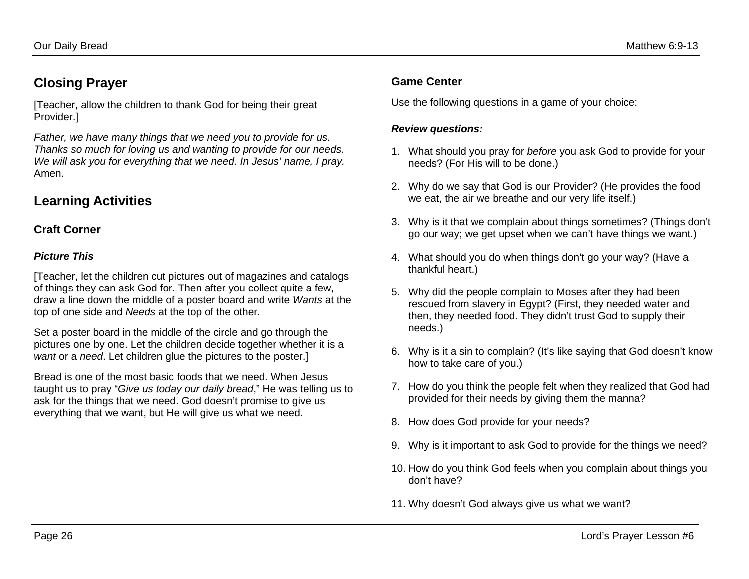## **Closing Prayer**

[Teacher, allow the children to thank God for being their great Provider.]

*Father, we have many things that we need you to provide for us. Thanks so much for loving us and wanting to provide for our needs. We will ask you for everything that we need. In Jesus' name, I pray.* Amen.

## **Learning Activities**

### **Craft Corner**

### *Picture This*

[Teacher, let the children cut pictures out of magazines and catalogs of things they can ask God for. Then after you collect quite a few, draw a line down the middle of a poster board and write *Wants* at the top of one side and *Needs* at the top of the other.

Set a poster board in the middle of the circle and go through the pictures one by one. Let the children decide together whether it is a *want* or a *need*. Let children glue the pictures to the poster.]

Bread is one of the most basic foods that we need. When Jesus taught us to pray "*Give us today our daily bread*," He was telling us to ask for the things that we need. God doesn't promise to give us everything that we want, but He will give us what we need.

### **Game Center**

Use the following questions in a game of your choice:

### *Review questions:*

- 1. What should you pray for *before* you ask God to provide for your needs? (For His will to be done.)
- 2. Why do we say that God is our Provider? (He provides the food we eat, the air we breathe and our very life itself.)
- 3. Why is it that we complain about things sometimes? (Things don't go our way; we get upset when we can't have things we want.)
- 4. What should you do when things don't go your way? (Have a thankful heart.)
- 5. Why did the people complain to Moses after they had been rescued from slavery in Egypt? (First, they needed water and then, they needed food. They didn't trust God to supply their needs.)
- 6. Why is it a sin to complain? (It's like saying that God doesn't know how to take care of you.)
- 7. How do you think the people felt when they realized that God had provided for their needs by giving them the manna?
- 8. How does God provide for your needs?
- 9. Why is it important to ask God to provide for the things we need?
- 10. How do you think God feels when you complain about things you don't have?
- 11. Why doesn't God always give us what we want?